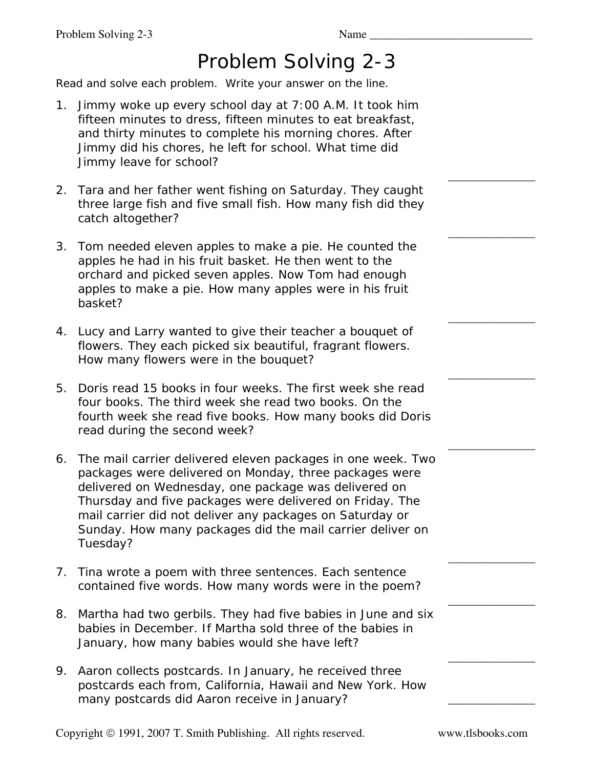## Problem Solving 2-3

Read and solve each problem. Write your answer on the line.

- 1. Jimmy woke up every school day at 7:00 A.M. It took him fifteen minutes to dress, fifteen minutes to eat breakfast, and thirty minutes to complete his morning chores. After Jimmy did his chores, he left for school. What time did Jimmy leave for school?
- 2. Tara and her father went fishing on Saturday. They caught three large fish and five small fish. How many fish did they catch altogether?
- 3. Tom needed eleven apples to make a pie. He counted the apples he had in his fruit basket. He then went to the orchard and picked seven apples. Now Tom had enough apples to make a pie. How many apples were in his fruit basket?
- 4. Lucy and Larry wanted to give their teacher a bouquet of flowers. They each picked six beautiful, fragrant flowers. How many flowers were in the bouquet?
- 5. Doris read 15 books in four weeks. The first week she read four books. The third week she read two books. On the fourth week she read five books. How many books did Doris read during the second week?
- 6. The mail carrier delivered eleven packages in one week. Two packages were delivered on Monday, three packages were delivered on Wednesday, one package was delivered on Thursday and five packages were delivered on Friday. The mail carrier did not deliver any packages on Saturday or Sunday. How many packages did the mail carrier deliver on Tuesday?
- 7. Tina wrote a poem with three sentences. Each sentence contained five words. How many words were in the poem?
- 8. Martha had two gerbils. They had five babies in June and six babies in December. If Martha sold three of the babies in January, how many babies would she have left?
- 9. Aaron collects postcards. In January, he received three postcards each from, California, Hawaii and New York. How many postcards did Aaron receive in January?

Copyright © 1991, 2007 T. Smith Publishing. All rights reserved. www.tlsbooks.com

 $\overline{\phantom{a}}$  , where  $\overline{\phantom{a}}$ 

\_\_\_\_\_\_\_\_\_\_\_\_\_\_\_

\_\_\_\_\_\_\_\_\_\_\_\_\_\_\_

\_\_\_\_\_\_\_\_\_\_\_\_\_\_\_

\_\_\_\_\_\_\_\_\_\_\_\_\_\_\_

\_\_\_\_\_\_\_\_\_\_\_\_\_\_\_

\_\_\_\_\_\_\_\_\_\_\_\_\_\_\_

 $\overline{\phantom{a}}$  , where  $\overline{\phantom{a}}$